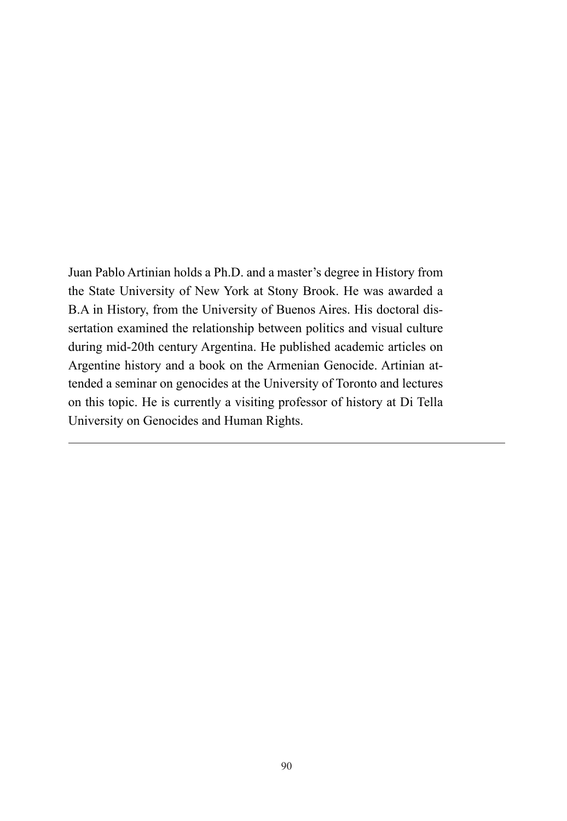Juan Pablo Artinian holds a Ph.D. and a master's degree in History from the State University of New York at Stony Brook. He was awarded a B.A in History, from the University of Buenos Aires. His doctoral dissertation examined the relationship between politics and visual culture during mid-20th century Argentina. He published academic articles on Argentine history and a book on the Armenian Genocide. Artinian attended a seminar on genocides at the University of Toronto and lectures on this topic. He is currently a visiting professor of history at Di Tella University on Genocides and Human Rights.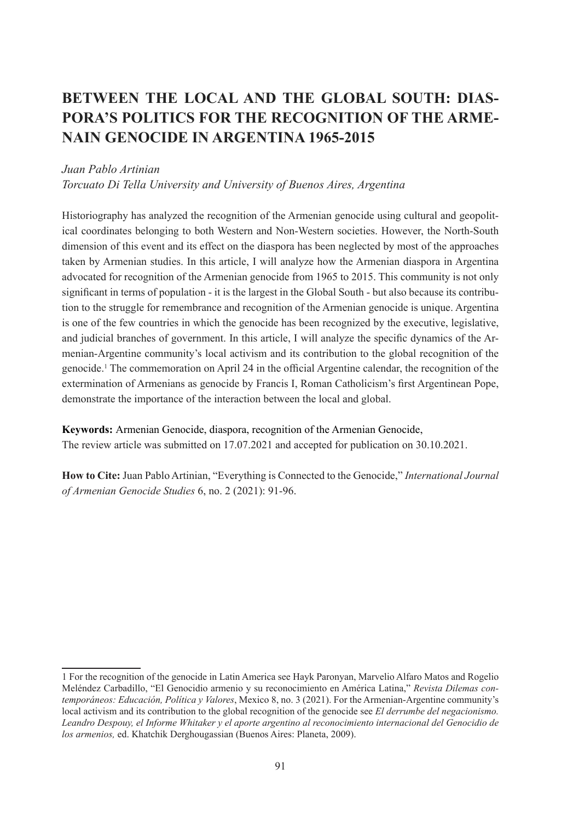# **BETWEEN THE LOCAL AND THE GLOBAL SOUTH: DIAS-PORA'S POLITICS FOR THE RECOGNITION OF THE ARME-NAIN GENOCIDE IN ARGENTINA 1965-2015**

### *Juan Pablo Artinian*

*Torcuato Di Tella University and University of Buenos Aires, Argentina* 

Historiography has analyzed the recognition of the Armenian genocide using cultural and geopolitical coordinates belonging to both Western and Non-Western societies. However, the North-South dimension of this event and its effect on the diaspora has been neglected by most of the approaches taken by Armenian studies. In this article, I will analyze how the Armenian diaspora in Argentina advocated for recognition of the Armenian genocide from 1965 to 2015. This community is not only significant in terms of population - it is the largest in the Global South - but also because its contribution to the struggle for remembrance and recognition of the Armenian genocide is unique. Argentina is one of the few countries in which the genocide has been recognized by the executive, legislative, and judicial branches of government. In this article, I will analyze the specific dynamics of the Armenian-Argentine community's local activism and its contribution to the global recognition of the genocide.1 The commemoration on April 24 in the official Argentine calendar, the recognition of the extermination of Armenians as genocide by Francis I, Roman Catholicism's first Argentinean Pope, demonstrate the importance of the interaction between the local and global.

**Keywords:** Armenian Genocide, diaspora, recognition of the Armenian Genocide, The review article was submitted on 17.07.2021 and accepted for publication on 30.10.2021.

**How to Cite:** Juan Pablo Artinian, "Everything is Connected to the Genocide," *International Journal of Armenian Genocide Studies* 6, no. 2 (2021): 91-96.

<sup>1</sup> For the recognition of the genocide in Latin America see Hayk Paronyan, Marvelio Alfaro Matos and Rogelio Meléndez Carbadillo, "El Genocidio armenio y su reconocimiento en América Latina," *Revista Dilemas contemporáneos: Educación, Política y Valores*, Mexico 8, no. 3 (2021). For the Armenian-Argentine community's local activism and its contribution to the global recognition of the genocide see *El derrumbe del negacionismo. Leandro Despouy, el Informe Whitaker y el aporte argentino al reconocimiento internacional del Genocidio de los armenios,* ed. Khatchik Derghougassian (Buenos Aires: Planeta, 2009).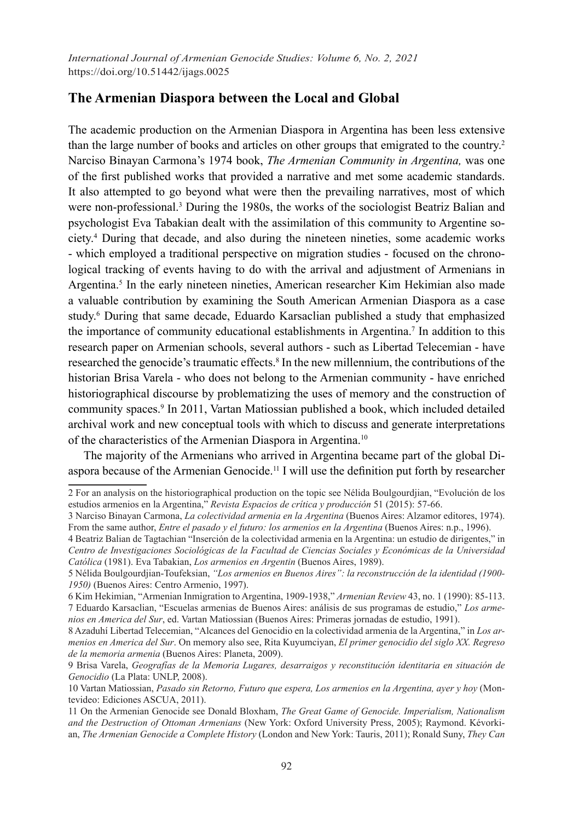## **The Armenian Diaspora between the Local and Global**

The academic production on the Armenian Diaspora in Argentina has been less extensive than the large number of books and articles on other groups that emigrated to the country.2 Narciso Binayan Carmona's 1974 book, *The Armenian Community in Argentina,* was one of the first published works that provided a narrative and met some academic standards. It also attempted to go beyond what were then the prevailing narratives, most of which were non-professional.<sup>3</sup> During the 1980s, the works of the sociologist Beatriz Balian and psychologist Eva Tabakian dealt with the assimilation of this community to Argentine society.4 During that decade, and also during the nineteen nineties, some academic works - which employed a traditional perspective on migration studies - focused on the chronological tracking of events having to do with the arrival and adjustment of Armenians in Argentina.<sup>5</sup> In the early nineteen nineties, American researcher Kim Hekimian also made a valuable contribution by examining the South American Armenian Diaspora as a case study.<sup>6</sup> During that same decade, Eduardo Karsaclian published a study that emphasized the importance of community educational establishments in Argentina.<sup>7</sup> In addition to this research paper on Armenian schools, several authors - such as Libertad Telecemian - have researched the genocide's traumatic effects.<sup>8</sup> In the new millennium, the contributions of the historian Brisa Varela - who does not belong to the Armenian community - have enriched historiographical discourse by problematizing the uses of memory and the construction of community spaces.9 In 2011, Vartan Matiossian published a book, which included detailed archival work and new conceptual tools with which to discuss and generate interpretations of the characteristics of the Armenian Diaspora in Argentina.10

The majority of the Armenians who arrived in Argentina became part of the global Diaspora because of the Armenian Genocide.11 I will use the definition put forth by researcher

<sup>2</sup> For an analysis on the historiographical production on the topic see Nélida Boulgourdjian, "Evolución de los estudios armenios en la Argentina," *Revista Espacios de crítica y producción* 51 (2015): 57-66.

<sup>3</sup> Narciso Binayan Carmona, *La colectividad armenia en la Argentina* (Buenos Aires: Alzamor editores, 1974). From the same author, *Entre el pasado y el futuro: los armenios en la Argentina* (Buenos Aires: n.p., 1996).

<sup>4</sup> Beatriz Balian de Tagtachian "Inserción de la colectividad armenia en la Argentina: un estudio de dirigentes," in *Centro de Investigaciones Sociológicas de la Facultad de Ciencias Sociales y Económicas de la Universidad Católica* (1981). Eva Tabakian, *Los armenios en Argentin* (Buenos Aires, 1989).

<sup>5</sup> Nélida Boulgourdjian-Toufeksian, *"Los armenios en Buenos Aires": la reconstrucción de la identidad (1900- 1950)* (Buenos Aires: Centro Armenio, 1997).

<sup>6</sup> Kim Hekimian, "Armenian Inmigration to Argentina, 1909-1938," *Armenian Review* 43, no. 1 (1990): 85-113. 7 Eduardo Karsaclian, "Escuelas armenias de Buenos Aires: análisis de sus programas de estudio," *Los armenios en America del Sur*, ed. Vartan Matiossian (Buenos Aires: Primeras jornadas de estudio, 1991).

<sup>8</sup> Azaduhí Libertad Telecemian, "Alcances del Genocidio en la colectividad armenia de la Argentina," in *Los armenios en America del Sur*. On memory also see, Rita Kuyumciyan, *El primer genocidio del siglo XX. Regreso de la memoria armenia* (Buenos Aires: Planeta, 2009).

<sup>9</sup> Brisa Varela, *Geografías de la Memoria Lugares, desarraigos y reconstitución identitaria en situación de Genocidio* (La Plata: UNLP, 2008).

<sup>10</sup> Vartan Matiossian, *Pasado sin Retorno, Futuro que espera, Los armenios en la Argentina, ayer y hoy* (Montevideo: Ediciones ASCUA, 2011).

<sup>11</sup> On the Armenian Genocide see Donald Bloxham, *The Great Game of Genocide. Imperialism, Nationalism and the Destruction of Ottoman Armenians* (New York: Oxford University Press, 2005); Raymond. Kévorkian, *The Armenian Genocide a Complete History* (London and New York: Tauris, 2011); Ronald Suny, *They Can*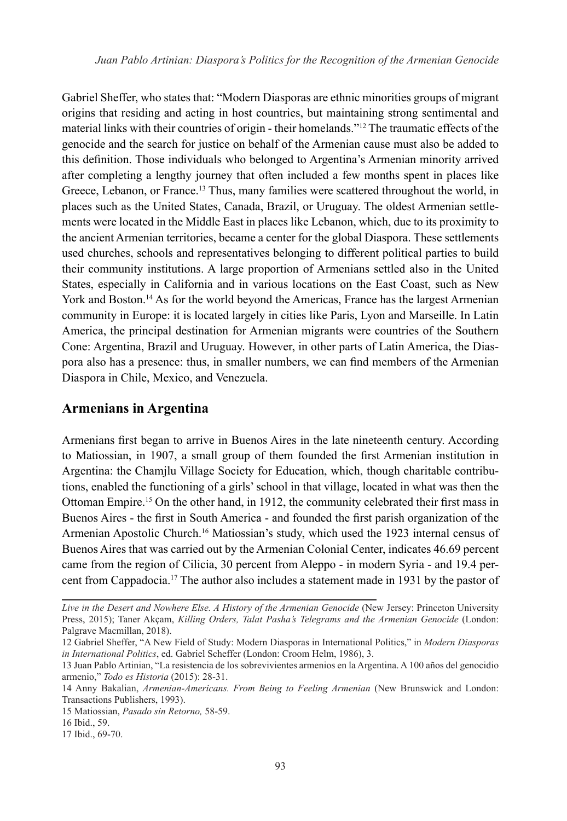Gabriel Sheffer, who states that: "Modern Diasporas are ethnic minorities groups of migrant origins that residing and acting in host countries, but maintaining strong sentimental and material links with their countries of origin - their homelands."12 The traumatic effects of the genocide and the search for justice on behalf of the Armenian cause must also be added to this definition. Those individuals who belonged to Argentina's Armenian minority arrived after completing a lengthy journey that often included a few months spent in places like Greece, Lebanon, or France.<sup>13</sup> Thus, many families were scattered throughout the world, in places such as the United States, Canada, Brazil, or Uruguay. The oldest Armenian settlements were located in the Middle East in places like Lebanon, which, due to its proximity to the ancient Armenian territories, became a center for the global Diaspora. These settlements used churches, schools and representatives belonging to different political parties to build their community institutions. A large proportion of Armenians settled also in the United States, especially in California and in various locations on the East Coast, such as New York and Boston.<sup>14</sup> As for the world beyond the Americas, France has the largest Armenian community in Europe: it is located largely in cities like Paris, Lyon and Marseille. In Latin America, the principal destination for Armenian migrants were countries of the Southern Cone: Argentina, Brazil and Uruguay. However, in other parts of Latin America, the Diaspora also has a presence: thus, in smaller numbers, we can find members of the Armenian Diaspora in Chile, Mexico, and Venezuela.

### **Armenians in Argentina**

Armenians first began to arrive in Buenos Aires in the late nineteenth century. According to Matiossian, in 1907, a small group of them founded the first Armenian institution in Argentina: the Chamjlu Village Society for Education, which, though charitable contributions, enabled the functioning of a girls' school in that village, located in what was then the Ottoman Empire.15 On the other hand, in 1912, the community celebrated their first mass in Buenos Aires - the first in South America - and founded the first parish organization of the Armenian Apostolic Church.<sup>16</sup> Matiossian's study, which used the 1923 internal census of Buenos Aires that was carried out by the Armenian Colonial Center, indicates 46.69 percent came from the region of Cilicia, 30 percent from Aleppo - in modern Syria - and 19.4 percent from Cappadocia.17 The author also includes a statement made in 1931 by the pastor of

*Live in the Desert and Nowhere Else. A History of the Armenian Genocide* (New Jersey: Princeton University Press, 2015); Taner Akçam, *Killing Orders, Talat Pasha's Telegrams and the Armenian Genocide* (London: Palgrave Macmillan, 2018).

<sup>12</sup> Gabriel Sheffer, "A New Field of Study: Modern Diasporas in International Politics," in *Modern Diasporas in International Politics*, ed. Gabriel Scheffer (London: Croom Helm, 1986), 3.

<sup>13</sup> Juan Pablo Artinian, "La resistencia de los sobrevivientes armenios en la Argentina. A 100 años del genocidio armenio," *Todo es Historia* (2015): 28-31.

<sup>14</sup> Anny Bakalian, *Armenian-Americans. From Being to Feeling Armenian* (New Brunswick and London: Transactions Publishers, 1993).

<sup>15</sup> Matiossian, *Pasado sin Retorno,* 58-59.

<sup>16</sup> Ibid., 59.

<sup>17</sup> Ibid., 69-70.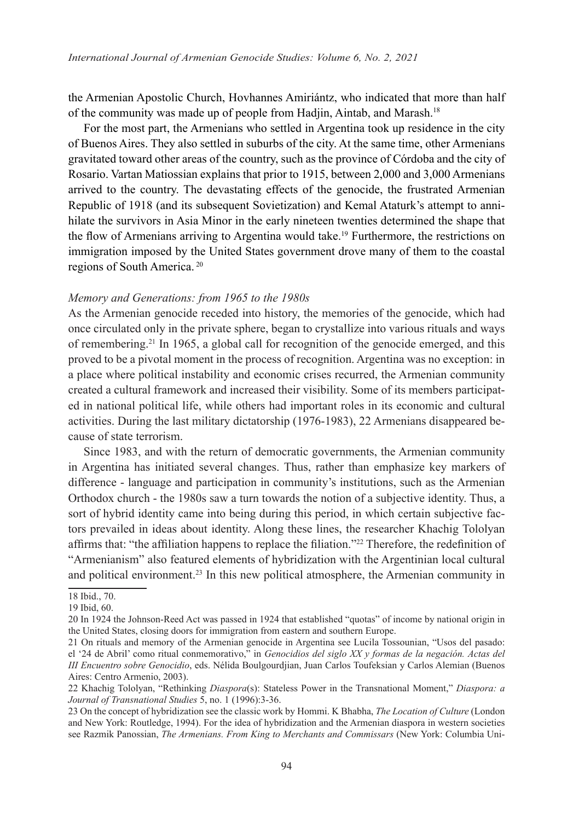the Armenian Apostolic Church, Hovhannes Amiriántz, who indicated that more than half of the community was made up of people from Hadjin, Aintab, and Marash.18

For the most part, the Armenians who settled in Argentina took up residence in the city of Buenos Aires. They also settled in suburbs of the city. At the same time, other Armenians gravitated toward other areas of the country, such as the province of Córdoba and the city of Rosario. Vartan Matiossian explains that prior to 1915, between 2,000 and 3,000 Armenians arrived to the country. The devastating effects of the genocide, the frustrated Armenian Republic of 1918 (and its subsequent Sovietization) and Kemal Ataturk's attempt to annihilate the survivors in Asia Minor in the early nineteen twenties determined the shape that the flow of Armenians arriving to Argentina would take.<sup>19</sup> Furthermore, the restrictions on immigration imposed by the United States government drove many of them to the coastal regions of South America. <sup>20</sup>

#### *Memory and Generations: from 1965 to the 1980s*

As the Armenian genocide receded into history, the memories of the genocide, which had once circulated only in the private sphere, began to crystallize into various rituals and ways of remembering.21 In 1965, a global call for recognition of the genocide emerged, and this proved to be a pivotal moment in the process of recognition. Argentina was no exception: in a place where political instability and economic crises recurred, the Armenian community created a cultural framework and increased their visibility. Some of its members participated in national political life, while others had important roles in its economic and cultural activities. During the last military dictatorship (1976-1983), 22 Armenians disappeared because of state terrorism.

Since 1983, and with the return of democratic governments, the Armenian community in Argentina has initiated several changes. Thus, rather than emphasize key markers of difference - language and participation in community's institutions, such as the Armenian Orthodox church - the 1980s saw a turn towards the notion of a subjective identity. Thus, a sort of hybrid identity came into being during this period, in which certain subjective factors prevailed in ideas about identity. Along these lines, the researcher Khachig Tololyan affirms that: "the affiliation happens to replace the filiation."<sup>22</sup> Therefore, the redefinition of "Armenianism" also featured elements of hybridization with the Argentinian local cultural and political environment.<sup>23</sup> In this new political atmosphere, the Armenian community in

<sup>18</sup> Ibid., 70.

<sup>19</sup> Ibid, 60.

<sup>20</sup> In 1924 the Johnson-Reed Act was passed in 1924 that established "quotas" of income by national origin in the United States, closing doors for immigration from eastern and southern Europe.

<sup>21</sup> On rituals and memory of the Armenian genocide in Argentina see Lucila Tossounian, "Usos del pasado: el '24 de Abril' como ritual conmemorativo," in *Genocidios del siglo XX y formas de la negación. Actas del III Encuentro sobre Genocidio*, eds. Nélida Boulgourdjian, Juan Carlos Toufeksian y Carlos Alemian (Buenos Aires: Centro Armenio, 2003).

<sup>22</sup> Khachig Tololyan, "Rethinking *Diaspora*(s): Stateless Power in the Transnational Moment," *Diaspora: a Journal of Transnational Studies* 5, no. 1 (1996):3-36.

<sup>23</sup> On the concept of hybridization see the classic work by Hommi. K Bhabha, *The Location of Culture* (London and New York: Routledge, 1994). For the idea of hybridization and the Armenian diaspora in western societies see Razmik Panossian, *The Armenians. From King to Merchants and Commissars* (New York: Columbia Uni-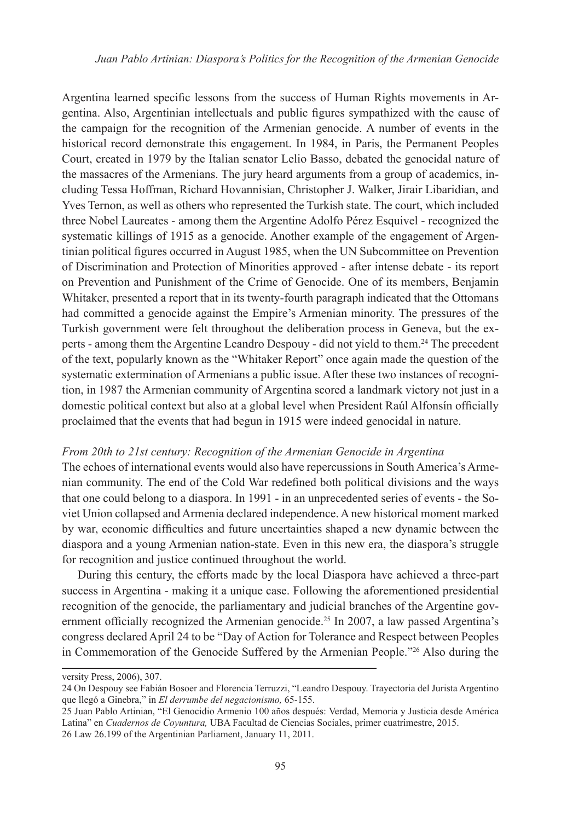Argentina learned specific lessons from the success of Human Rights movements in Argentina. Also, Argentinian intellectuals and public figures sympathized with the cause of the campaign for the recognition of the Armenian genocide. A number of events in the historical record demonstrate this engagement. In 1984, in Paris, the Permanent Peoples Court, created in 1979 by the Italian senator Lelio Basso, debated the genocidal nature of the massacres of the Armenians. The jury heard arguments from a group of academics, including Tessa Hoffman, Richard Hovannisian, Christopher J. Walker, Jirair Libaridian, and Yves Ternon, as well as others who represented the Turkish state. The court, which included three Nobel Laureates - among them the Argentine Adolfo Pérez Esquivel - recognized the systematic killings of 1915 as a genocide. Another example of the engagement of Argentinian political figures occurred in August 1985, when the UN Subcommittee on Prevention of Discrimination and Protection of Minorities approved - after intense debate - its report on Prevention and Punishment of the Crime of Genocide. One of its members, Benjamin Whitaker, presented a report that in its twenty-fourth paragraph indicated that the Ottomans had committed a genocide against the Empire's Armenian minority. The pressures of the Turkish government were felt throughout the deliberation process in Geneva, but the experts - among them the Argentine Leandro Despouy - did not yield to them.<sup>24</sup> The precedent of the text, popularly known as the "Whitaker Report" once again made the question of the systematic extermination of Armenians a public issue. After these two instances of recognition, in 1987 the Armenian community of Argentina scored a landmark victory not just in a domestic political context but also at a global level when President Raúl Alfonsín officially proclaimed that the events that had begun in 1915 were indeed genocidal in nature.

#### *From 20th to 21st century: Recognition of the Armenian Genocide in Argentina*

The echoes of international events would also have repercussions in South America's Armenian community. The end of the Cold War redefined both political divisions and the ways that one could belong to a diaspora. In 1991 - in an unprecedented series of events - the Soviet Union collapsed and Armenia declared independence. A new historical moment marked by war, economic difficulties and future uncertainties shaped a new dynamic between the diaspora and a young Armenian nation-state. Even in this new era, the diaspora's struggle for recognition and justice continued throughout the world.

During this century, the efforts made by the local Diaspora have achieved a three-part success in Argentina - making it a unique case. Following the aforementioned presidential recognition of the genocide, the parliamentary and judicial branches of the Argentine government officially recognized the Armenian genocide.<sup>25</sup> In 2007, a law passed Argentina's congress declared April 24 to be "Day of Action for Tolerance and Respect between Peoples in Commemoration of the Genocide Suffered by the Armenian People."26 Also during the

versity Press, 2006), 307.

<sup>24</sup> On Despouy see Fabián Bosoer and Florencia Terruzzi, "Leandro Despouy. Trayectoria del Jurista Argentino que llegó a Ginebra," in *El derrumbe del negacionismo,* 65-155.

<sup>25</sup> Juan Pablo Artinian, "El Genocidio Armenio 100 años después: Verdad, Memoria y Justicia desde América Latina" en *Cuadernos de Coyuntura,* UBA Facultad de Ciencias Sociales, primer cuatrimestre, 2015. 26 Law 26.199 of the Argentinian Parliament, January 11, 2011.